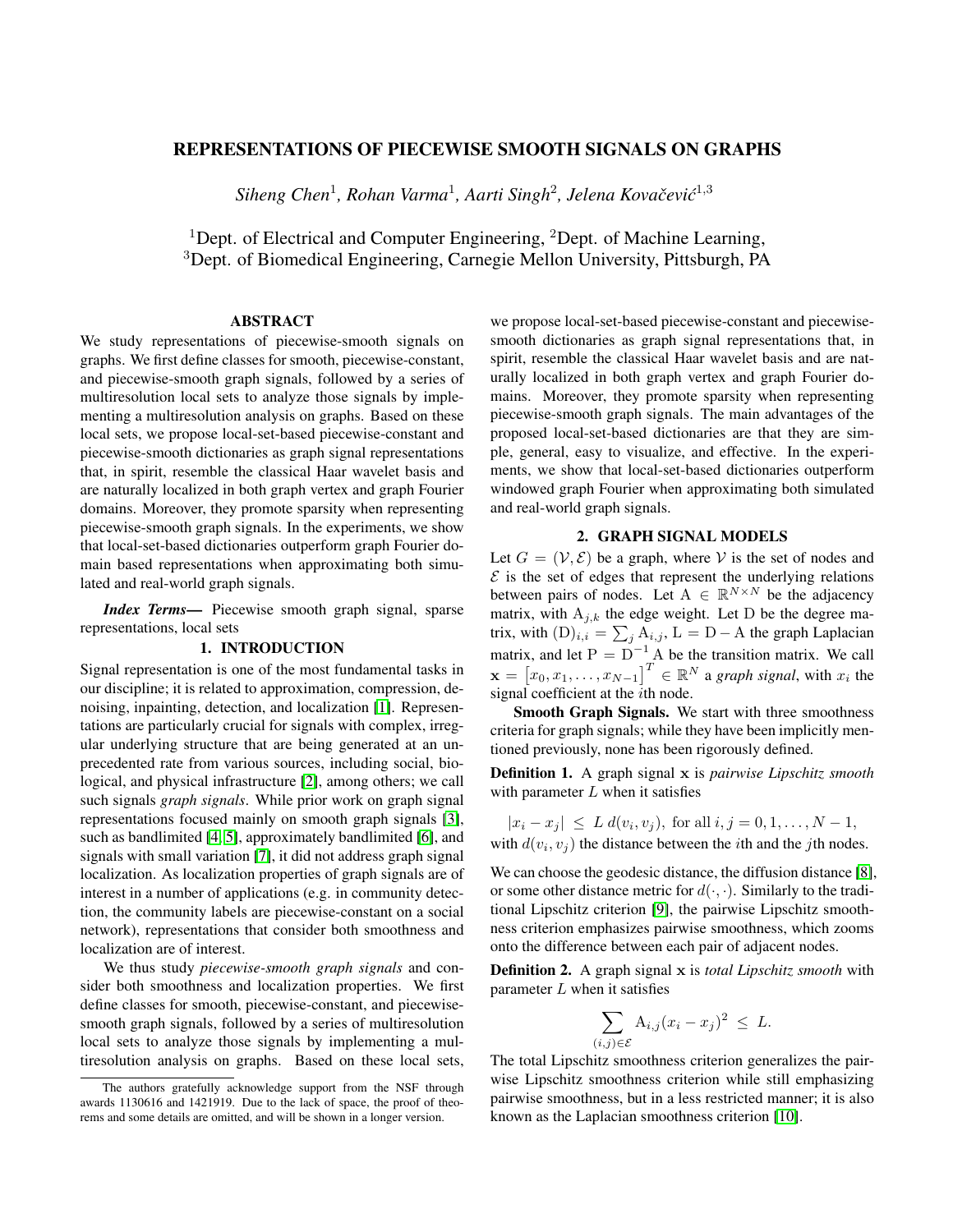# REPRESENTATIONS OF PIECEWISE SMOOTH SIGNALS ON GRAPHS

 $Siheng Chen<sup>1</sup>, Rohan Varma<sup>1</sup>, Aarti Singh<sup>2</sup>, Jelena Kovačević<sup>1,3</sup>$ 

<sup>1</sup>Dept. of Electrical and Computer Engineering,  ${}^{2}$ Dept. of Machine Learning, <sup>3</sup>Dept. of Biomedical Engineering, Carnegie Mellon University, Pittsburgh, PA

# ABSTRACT

We study representations of piecewise-smooth signals on graphs. We first define classes for smooth, piecewise-constant, and piecewise-smooth graph signals, followed by a series of multiresolution local sets to analyze those signals by implementing a multiresolution analysis on graphs. Based on these local sets, we propose local-set-based piecewise-constant and piecewise-smooth dictionaries as graph signal representations that, in spirit, resemble the classical Haar wavelet basis and are naturally localized in both graph vertex and graph Fourier domains. Moreover, they promote sparsity when representing piecewise-smooth graph signals. In the experiments, we show that local-set-based dictionaries outperform graph Fourier domain based representations when approximating both simulated and real-world graph signals.

*Index Terms*— Piecewise smooth graph signal, sparse representations, local sets

# 1. INTRODUCTION

Signal representation is one of the most fundamental tasks in our discipline; it is related to approximation, compression, denoising, inpainting, detection, and localization [\[1\]](#page-4-0). Representations are particularly crucial for signals with complex, irregular underlying structure that are being generated at an unprecedented rate from various sources, including social, biological, and physical infrastructure [\[2\]](#page-4-1), among others; we call such signals *graph signals*. While prior work on graph signal representations focused mainly on smooth graph signals [\[3\]](#page-4-2), such as bandlimited [\[4,](#page-4-3) [5\]](#page-4-4), approximately bandlimited [\[6\]](#page-4-5), and signals with small variation [\[7\]](#page-4-6), it did not address graph signal localization. As localization properties of graph signals are of interest in a number of applications (e.g. in community detection, the community labels are piecewise-constant on a social network), representations that consider both smoothness and localization are of interest.

We thus study *piecewise-smooth graph signals* and consider both smoothness and localization properties. We first define classes for smooth, piecewise-constant, and piecewisesmooth graph signals, followed by a series of multiresolution local sets to analyze those signals by implementing a multiresolution analysis on graphs. Based on these local sets, we propose local-set-based piecewise-constant and piecewisesmooth dictionaries as graph signal representations that, in spirit, resemble the classical Haar wavelet basis and are naturally localized in both graph vertex and graph Fourier domains. Moreover, they promote sparsity when representing piecewise-smooth graph signals. The main advantages of the proposed local-set-based dictionaries are that they are simple, general, easy to visualize, and effective. In the experiments, we show that local-set-based dictionaries outperform windowed graph Fourier when approximating both simulated and real-world graph signals.

#### 2. GRAPH SIGNAL MODELS

Let  $G = (\mathcal{V}, \mathcal{E})$  be a graph, where V is the set of nodes and  $\mathcal E$  is the set of edges that represent the underlying relations between pairs of nodes. Let  $A \in \mathbb{R}^{N \times N}$  be the adjacency matrix, with  $A_{j,k}$  the edge weight. Let D be the degree matrix, with  $(D)_{i,i} = \sum_j A_{i,j}$ ,  $L = D - A$  the graph Laplacian matrix, and let  $P = D^{-1} A$  be the transition matrix. We call  $\mathbf{x} = \begin{bmatrix} x_0, x_1, \dots, x_{N-1} \end{bmatrix}^T \in \mathbb{R}^N$  a *graph signal*, with  $x_i$  the signal coefficient at the *i*th node.

Smooth Graph Signals. We start with three smoothness criteria for graph signals; while they have been implicitly mentioned previously, none has been rigorously defined.

Definition 1. A graph signal x is *pairwise Lipschitz smooth* with parameter  $L$  when it satisfies

$$
|x_i - x_j| \le L d(v_i, v_j)
$$
, for all  $i, j = 0, 1, ..., N - 1$ ,

with  $d(v_i, v_j)$  the distance between the *i*th and the *j*th nodes.

We can choose the geodesic distance, the diffusion distance [\[8\]](#page-4-7), or some other distance metric for  $d(\cdot, \cdot)$ . Similarly to the traditional Lipschitz criterion [\[9\]](#page-4-8), the pairwise Lipschitz smoothness criterion emphasizes pairwise smoothness, which zooms onto the difference between each pair of adjacent nodes.

Definition 2. A graph signal x is *total Lipschitz smooth* with parameter  $L$  when it satisfies

$$
\sum_{(i,j)\in\mathcal{E}} A_{i,j}(x_i - x_j)^2 \leq L.
$$

The total Lipschitz smoothness criterion generalizes the pairwise Lipschitz smoothness criterion while still emphasizing pairwise smoothness, but in a less restricted manner; it is also known as the Laplacian smoothness criterion [\[10\]](#page-4-9).

The authors gratefully acknowledge support from the NSF through awards 1130616 and 1421919. Due to the lack of space, the proof of theorems and some details are omitted, and will be shown in a longer version.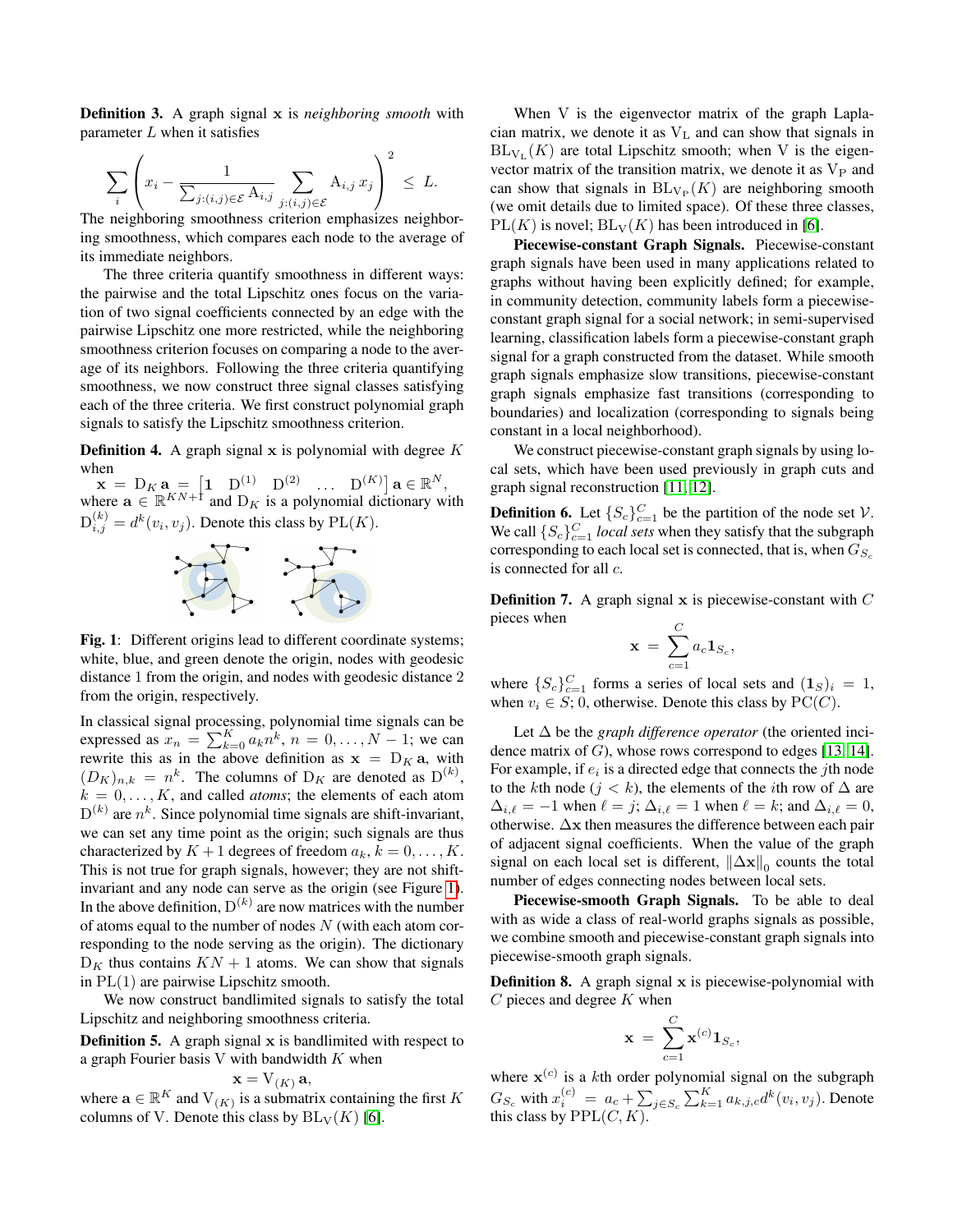Definition 3. A graph signal x is *neighboring smooth* with parameter  $L$  when it satisfies

$$
\sum_{i} \left( x_i - \frac{1}{\sum_{j:(i,j)\in \mathcal{E}} A_{i,j}} \sum_{j:(i,j)\in \mathcal{E}} A_{i,j} x_j \right)^2 \leq L.
$$

The neighboring smoothness criterion emphasizes neighboring smoothness, which compares each node to the average of its immediate neighbors.

The three criteria quantify smoothness in different ways: the pairwise and the total Lipschitz ones focus on the variation of two signal coefficients connected by an edge with the pairwise Lipschitz one more restricted, while the neighboring smoothness criterion focuses on comparing a node to the average of its neighbors. Following the three criteria quantifying smoothness, we now construct three signal classes satisfying each of the three criteria. We first construct polynomial graph signals to satisfy the Lipschitz smoothness criterion.

<span id="page-1-1"></span>**Definition 4.** A graph signal x is polynomial with degree  $K$ when

<span id="page-1-0"></span> $\mathbf{x} = D_K \mathbf{a} = \begin{bmatrix} 1 & D^{(1)} & D^{(2)} & \dots & D^{(K)} \end{bmatrix} \mathbf{a} \in \mathbb{R}^N,$ where  $\mathbf{a} \in \mathbb{R}^{KN+1}$  and  $D_K$  is a polynomial dictionary with  $D_{i,j}^{(k)} = d^k(v_i, v_j)$ . Denote this class by  $PL(K)$ .



Fig. 1: Different origins lead to different coordinate systems; white, blue, and green denote the origin, nodes with geodesic distance 1 from the origin, and nodes with geodesic distance 2 from the origin, respectively.

In classical signal processing, polynomial time signals can be expressed as  $x_n = \sum_{k=0}^{K} a_k n^k$ ,  $n = 0, \ldots, N-1$ ; we can rewrite this as in the above definition as  $x = D_K a$ , with  $(D_K)_{n,k} = n^k$ . The columns of  $D_K$  are denoted as  $D^{(k)}$ ,  $k = 0, \ldots, K$ , and called *atoms*; the elements of each atom  $D^{(k)}$  are  $n^k$ . Since polynomial time signals are shift-invariant, we can set any time point as the origin; such signals are thus characterized by  $K + 1$  degrees of freedom  $a_k, k = 0, \ldots, K$ . This is not true for graph signals, however; they are not shiftinvariant and any node can serve as the origin (see Figure [1\)](#page-1-0). In the above definition,  $D^{(k)}$  are now matrices with the number of atoms equal to the number of nodes  $N$  (with each atom corresponding to the node serving as the origin). The dictionary  $D<sub>K</sub>$  thus contains  $KN + 1$  atoms. We can show that signals in  $PL(1)$  are pairwise Lipschitz smooth.

We now construct bandlimited signals to satisfy the total Lipschitz and neighboring smoothness criteria.

**Definition 5.** A graph signal  $x$  is bandlimited with respect to a graph Fourier basis V with bandwidth  $K$  when

$$
\mathbf{x} = \mathrm{V}_{(K)}\,\mathbf{a},
$$

where  $\mathbf{a} \in \mathbb{R}^K$  and  $V_{(K)}$  is a submatrix containing the first K columns of V. Denote this class by  $BL_V(K)$  [\[6\]](#page-4-5).

When V is the eigenvector matrix of the graph Laplacian matrix, we denote it as  $V<sub>L</sub>$  and can show that signals in  $BL_{V<sub>L</sub>}(K)$  are total Lipschitz smooth; when V is the eigenvector matrix of the transition matrix, we denote it as  $V_P$  and can show that signals in  $BL_{V_P}(K)$  are neighboring smooth (we omit details due to limited space). Of these three classes,  $PL(K)$  is novel;  $BL_V(K)$  has been introduced in [\[6\]](#page-4-5).

Piecewise-constant Graph Signals. Piecewise-constant graph signals have been used in many applications related to graphs without having been explicitly defined; for example, in community detection, community labels form a piecewiseconstant graph signal for a social network; in semi-supervised learning, classification labels form a piecewise-constant graph signal for a graph constructed from the dataset. While smooth graph signals emphasize slow transitions, piecewise-constant graph signals emphasize fast transitions (corresponding to boundaries) and localization (corresponding to signals being constant in a local neighborhood).

We construct piecewise-constant graph signals by using local sets, which have been used previously in graph cuts and graph signal reconstruction [\[11,](#page-4-10) [12\]](#page-4-11).

<span id="page-1-3"></span>**Definition 6.** Let  $\{S_c\}_{c=1}^C$  be the partition of the node set  $V$ . We call  $\{S_c\}_{c=1}^C$  *local sets* when they satisfy that the subgraph corresponding to each local set is connected, that is, when  $G_{S_c}$ is connected for all c.

<span id="page-1-2"></span>**Definition 7.** A graph signal  $x$  is piecewise-constant with  $C$ pieces when

$$
\mathbf{x} = \sum_{c=1}^{C} a_c \mathbf{1}_{S_c},
$$

where  $\{S_c\}_{c=1}^C$  forms a series of local sets and  $(1_S)_i = 1$ , when  $v_i \in S$ ; 0, otherwise. Denote this class by  $PC(C)$ .

Let ∆ be the *graph difference operator* (the oriented incidence matrix of  $G$ ), whose rows correspond to edges [\[13,](#page-4-12) [14\]](#page-4-13). For example, if  $e_i$  is a directed edge that connects the jth node to the kth node ( $j < k$ ), the elements of the *i*th row of  $\Delta$  are  $\Delta_{i,\ell} = -1$  when  $\ell = j$ ;  $\Delta_{i,\ell} = 1$  when  $\ell = k$ ; and  $\Delta_{i,\ell} = 0$ , otherwise. ∆x then measures the difference between each pair of adjacent signal coefficients. When the value of the graph signal on each local set is different,  $\|\Delta \mathbf{x}\|_0$  counts the total number of edges connecting nodes between local sets.

Piecewise-smooth Graph Signals. To be able to deal with as wide a class of real-world graphs signals as possible, we combine smooth and piecewise-constant graph signals into piecewise-smooth graph signals.

Definition 8. A graph signal x is piecewise-polynomial with  $C$  pieces and degree  $K$  when

$$
\mathbf{x} = \sum_{c=1}^C \mathbf{x}^{(c)} \mathbf{1}_{S_c},
$$

where  $\mathbf{x}^{(c)}$  is a kth order polynomial signal on the subgraph  $G_{S_c}$  with  $x_i^{(c)} = a_c + \sum_{j \in S_c} \sum_{k=1}^K a_{k,j,c} d^k(v_i, v_j)$ . Denote this class by  $PPL(C, K)$ .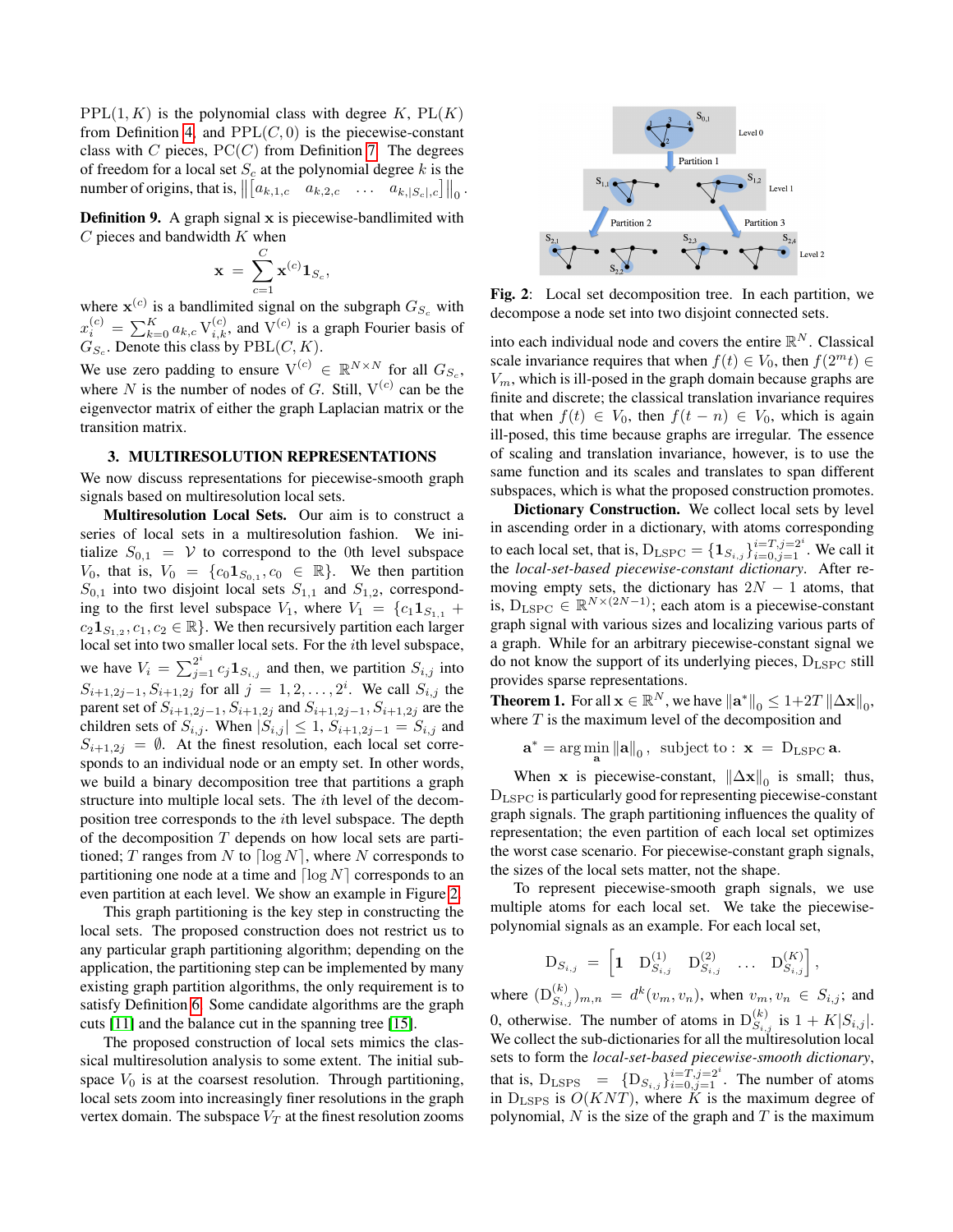$PPL(1, K)$  is the polynomial class with degree K,  $PL(K)$ from Definition [4,](#page-1-1) and  $PPL(C, 0)$  is the piecewise-constant class with C pieces,  $PC(C)$  from Definition [7.](#page-1-2) The degrees of freedom for a local set  $S_c$  at the polynomial degree k is the number of origins, that is,  $\left\| \begin{bmatrix} a_{k,1,c} & a_{k,2,c} & \dots & a_{k,|S_c|,c} \end{bmatrix} \right\|_0$ .

**Definition 9.** A graph signal  $x$  is piecewise-bandlimited with  $C$  pieces and bandwidth  $K$  when

$$
\mathbf{x}~=~\sum_{c=1}^C\mathbf{x}^{(c)}\mathbf{1}_{S_c},
$$

where  $\mathbf{x}^{(c)}$  is a bandlimited signal on the subgraph  $G_{S_c}$  with  $x_i^{(c)} = \sum_{k=0}^{K} a_{k,c} \, \mathrm{V}_{i,k}^{(c)}$ , and  $\mathrm{V}^{(c)}$  is a graph Fourier basis of  $G_{S_c}$ . Denote this class by  $\text{PBL}(C, K)$ .

We use zero padding to ensure  $V^{(c)} \in \mathbb{R}^{N \times N}$  for all  $G_{S_c}$ , where N is the number of nodes of G. Still,  $V^{(c)}$  can be the eigenvector matrix of either the graph Laplacian matrix or the transition matrix.

### 3. MULTIRESOLUTION REPRESENTATIONS

We now discuss representations for piecewise-smooth graph signals based on multiresolution local sets.

Multiresolution Local Sets. Our aim is to construct a series of local sets in a multiresolution fashion. We initialize  $S_{0,1} = V$  to correspond to the 0th level subspace  $V_0$ , that is,  $V_0 = \{c_0 \mathbf{1}_{S_{0,1}}, c_0 \in \mathbb{R}\}\$ . We then partition  $S_{0,1}$  into two disjoint local sets  $S_{1,1}$  and  $S_{1,2}$ , corresponding to the first level subspace  $V_1$ , where  $V_1 = \{c_1 \mathbf{1}_{S_{1,1}} +$  $c_2 \mathbf{1}_{S_{1,2}}$ ,  $c_1, c_2 \in \mathbb{R}$ . We then recursively partition each larger local set into two smaller local sets. For the ith level subspace, we have  $V_i = \sum_{j=1}^{2^i} c_j \mathbf{1}_{S_{i,j}}$  and then, we partition  $S_{i,j}$  into  $S_{i+1,2j-1}, S_{i+1,2j}$  for all  $j = 1,2,...,2^i$ . We call  $S_{i,j}$  the parent set of  $S_{i+1,2j-1}, S_{i+1,2j}$  and  $S_{i+1,2j-1}, S_{i+1,2j}$  are the children sets of  $S_{i,j}$ . When  $|S_{i,j}| \leq 1$ ,  $S_{i+1,2j-1} = S_{i,j}$  and  $S_{i+1,2j} = \emptyset$ . At the finest resolution, each local set corresponds to an individual node or an empty set. In other words, we build a binary decomposition tree that partitions a graph structure into multiple local sets. The ith level of the decomposition tree corresponds to the ith level subspace. The depth of the decomposition  $T$  depends on how local sets are partitioned; T ranges from N to  $\lceil \log N \rceil$ , where N corresponds to partitioning one node at a time and  $\lceil \log N \rceil$  corresponds to an even partition at each level. We show an example in Figure [2.](#page-2-0)

This graph partitioning is the key step in constructing the local sets. The proposed construction does not restrict us to any particular graph partitioning algorithm; depending on the application, the partitioning step can be implemented by many existing graph partition algorithms, the only requirement is to satisfy Definition [6.](#page-1-3) Some candidate algorithms are the graph cuts [\[11\]](#page-4-10) and the balance cut in the spanning tree [\[15\]](#page-4-14).

The proposed construction of local sets mimics the classical multiresolution analysis to some extent. The initial subspace  $V_0$  is at the coarsest resolution. Through partitioning, local sets zoom into increasingly finer resolutions in the graph vertex domain. The subspace  $V_T$  at the finest resolution zooms

<span id="page-2-0"></span>

Fig. 2: Local set decomposition tree. In each partition, we decompose a node set into two disjoint connected sets.

into each individual node and covers the entire  $\mathbb{R}^N$ . Classical scale invariance requires that when  $f(t) \in V_0$ , then  $f(2^m t) \in$  $V_m$ , which is ill-posed in the graph domain because graphs are finite and discrete; the classical translation invariance requires that when  $f(t) \in V_0$ , then  $f(t - n) \in V_0$ , which is again ill-posed, this time because graphs are irregular. The essence of scaling and translation invariance, however, is to use the same function and its scales and translates to span different subspaces, which is what the proposed construction promotes.

Dictionary Construction. We collect local sets by level in ascending order in a dictionary, with atoms corresponding to each local set, that is,  $D_{\text{LSPC}} = \{ \mathbf{1}_{S_{i,j}} \}_{i=0,j=1}^{i=T, j=2^i}$ . We call it the *local-set-based piecewise-constant dictionary*. After removing empty sets, the dictionary has  $2N - 1$  atoms, that is,  $D_{\text{LSPC}} \in \mathbb{R}^{N \times (2N-1)}$ ; each atom is a piecewise-constant graph signal with various sizes and localizing various parts of a graph. While for an arbitrary piecewise-constant signal we do not know the support of its underlying pieces,  $D_{LSPC}$  still provides sparse representations.

**Theorem 1.** For all  $\mathbf{x} \in \mathbb{R}^N$ , we have  $\|\mathbf{a}^*\|_0 \leq 1+2T \|\Delta \mathbf{x}\|_0$ , where  $T$  is the maximum level of the decomposition and

$$
\mathbf{a}^* = \arg\min_{\mathbf{a}} \|\mathbf{a}\|_0, \text{ subject to : } \mathbf{x} = D_{\text{LSPC}}\,\mathbf{a}.
$$

When x is piecewise-constant,  $\|\Delta \mathbf{x}\|_0$  is small; thus, DLSPC is particularly good for representing piecewise-constant graph signals. The graph partitioning influences the quality of representation; the even partition of each local set optimizes the worst case scenario. For piecewise-constant graph signals, the sizes of the local sets matter, not the shape.

To represent piecewise-smooth graph signals, we use multiple atoms for each local set. We take the piecewisepolynomial signals as an example. For each local set,

$$
\mathbf{D}_{S_{i,j}} = \begin{bmatrix} 1 & \mathbf{D}_{S_{i,j}}^{(1)} & \mathbf{D}_{S_{i,j}}^{(2)} & \dots & \mathbf{D}_{S_{i,j}}^{(K)} \end{bmatrix},
$$

where  $(D_{S_{i,j}}^{(k)})_{m,n} = d^k(v_m, v_n)$ , when  $v_m, v_n \in S_{i,j}$ ; and 0, otherwise. The number of atoms in  $D_{S_i}^{(k)}$  $S_{i,j}^{(k)}$  is  $1 + K|S_{i,j}|$ . We collect the sub-dictionaries for all the multiresolution local sets to form the *local-set-based piecewise-smooth dictionary*, that is,  $D_{\text{LSPS}} = \{D_{S_{i,j}}\}_{i=0,j=1}^{i=T, j=2^i}$ . The number of atoms in  $D_{\text{LSPS}}$  is  $O(KNT)$ , where  $\tilde{K}$  is the maximum degree of polynomial,  $N$  is the size of the graph and  $T$  is the maximum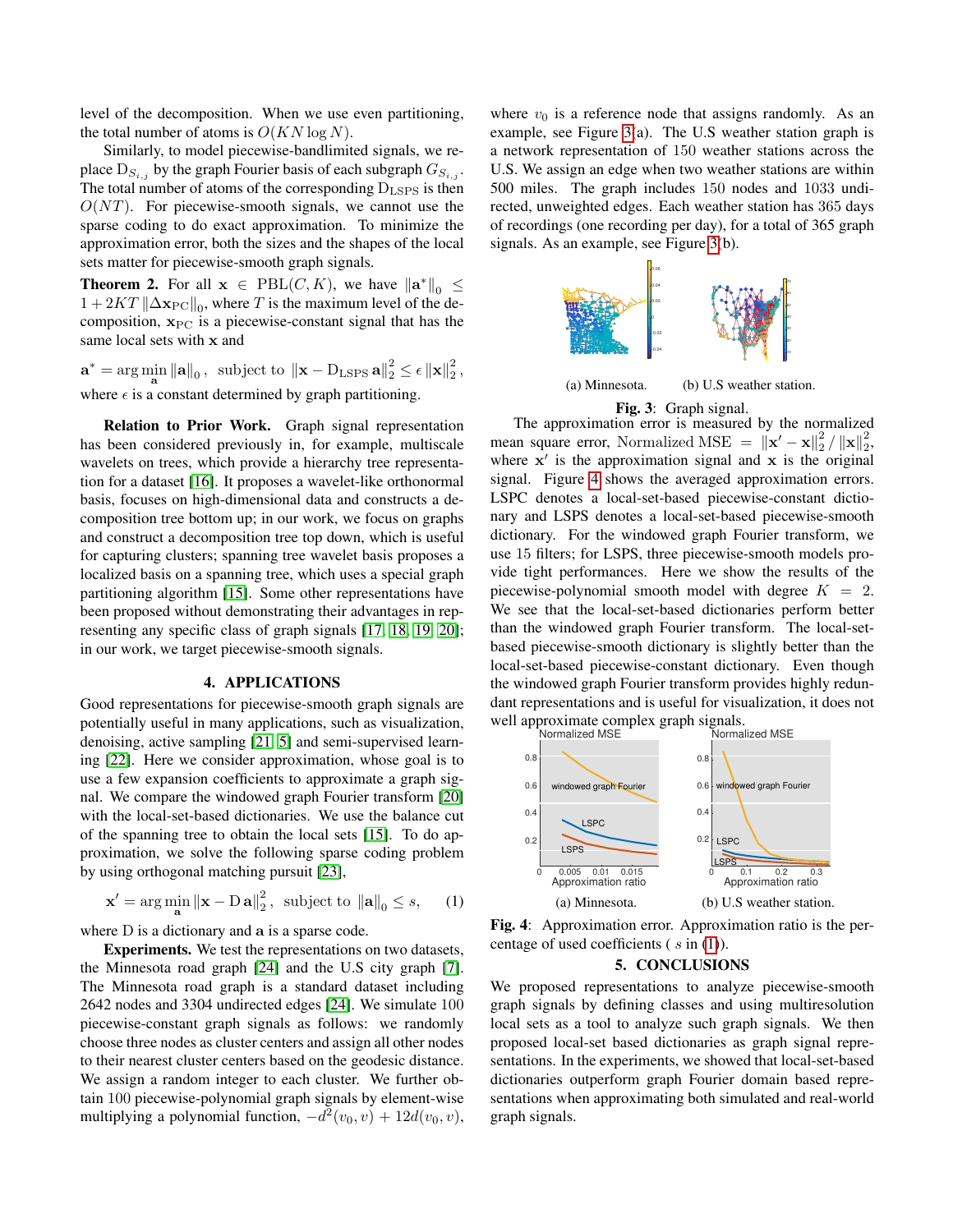level of the decomposition. When we use even partitioning, the total number of atoms is  $O(KN \log N)$ .

Similarly, to model piecewise-bandlimited signals, we replace  $D_{S_{i,j}}$  by the graph Fourier basis of each subgraph  $G_{S_{i,j}}$ . The total number of atoms of the corresponding  $D_{\text{LSPS}}$  is then  $O(NT)$ . For piecewise-smooth signals, we cannot use the sparse coding to do exact approximation. To minimize the approximation error, both the sizes and the shapes of the local sets matter for piecewise-smooth graph signals.

**Theorem 2.** For all  $x \in \text{PBL}(C, K)$ , we have  $\|\mathbf{a}^*\|_0 \leq$  $1 + 2KT \|\Delta \mathbf{x}_{\text{PC}}\|_0$ , where T is the maximum level of the decomposition,  $x_{PC}$  is a piecewise-constant signal that has the same local sets with x and

 $\mathbf{a}^* = \arg \min_{\mathbf{a}} \|\mathbf{a}\|_0$ , subject to  $\|\mathbf{x} - \mathrm{D}_{\mathrm{LSPS}} \,\mathbf{a}\|_2^2 \leq \epsilon \|\mathbf{x}\|_2^2$ , where  $\epsilon$  is a constant determined by graph partitioning.

Relation to Prior Work. Graph signal representation has been considered previously in, for example, multiscale wavelets on trees, which provide a hierarchy tree representation for a dataset [\[16\]](#page-4-15). It proposes a wavelet-like orthonormal basis, focuses on high-dimensional data and constructs a decomposition tree bottom up; in our work, we focus on graphs and construct a decomposition tree top down, which is useful for capturing clusters; spanning tree wavelet basis proposes a localized basis on a spanning tree, which uses a special graph partitioning algorithm [\[15\]](#page-4-14). Some other representations have been proposed without demonstrating their advantages in representing any specific class of graph signals [\[17,](#page-4-16) [18,](#page-4-17) [19,](#page-4-18) [20\]](#page-4-19); in our work, we target piecewise-smooth signals.

### 4. APPLICATIONS

Good representations for piecewise-smooth graph signals are potentially useful in many applications, such as visualization, denoising, active sampling [\[21,](#page-4-20) [5\]](#page-4-4) and semi-supervised learning [\[22\]](#page-4-21). Here we consider approximation, whose goal is to use a few expansion coefficients to approximate a graph signal. We compare the windowed graph Fourier transform [\[20\]](#page-4-19) with the local-set-based dictionaries. We use the balance cut of the spanning tree to obtain the local sets [\[15\]](#page-4-14). To do approximation, we solve the following sparse coding problem by using orthogonal matching pursuit [\[23\]](#page-4-22),

<span id="page-3-2"></span>
$$
\mathbf{x}' = \arg\min_{\mathbf{a}} \|\mathbf{x} - \mathbf{D}\mathbf{a}\|_{2}^{2}, \text{ subject to } \|\mathbf{a}\|_{0} \leq s, \qquad (1)
$$

where D is a dictionary and a is a sparse code.

Experiments. We test the representations on two datasets, the Minnesota road graph [\[24\]](#page-4-23) and the U.S city graph [\[7\]](#page-4-6). The Minnesota road graph is a standard dataset including 2642 nodes and 3304 undirected edges [\[24\]](#page-4-23). We simulate 100 piecewise-constant graph signals as follows: we randomly choose three nodes as cluster centers and assign all other nodes to their nearest cluster centers based on the geodesic distance. We assign a random integer to each cluster. We further obtain 100 piecewise-polynomial graph signals by element-wise multiplying a polynomial function,  $-d^2(v_0, v) + 12d(v_0, v)$ ,

where  $v_0$  is a reference node that assigns randomly. As an example, see Figure [3\(](#page-3-0)a). The U.S weather station graph is a network representation of 150 weather stations across the U.S. We assign an edge when two weather stations are within 500 miles. The graph includes 150 nodes and 1033 undirected, unweighted edges. Each weather station has 365 days of recordings (one recording per day), for a total of 365 graph signals. As an example, see Figure [3\(](#page-3-0)b).

<span id="page-3-0"></span>

(a) Minnesota. (b) U.S weather station.

#### Fig. 3: Graph signal.

The approximation error is measured by the normalized mean square error, Normalized MSE =  $\|\mathbf{x}' - \mathbf{x}\|_2^2$  $\frac{2}{2}$  /  $\|\mathbf{x}\|_2^2$ , where  $x'$  is the approximation signal and  $x$  is the original signal. Figure [4](#page-3-1) shows the averaged approximation errors. LSPC denotes a local-set-based piecewise-constant dictionary and LSPS denotes a local-set-based piecewise-smooth dictionary. For the windowed graph Fourier transform, we use 15 filters; for LSPS, three piecewise-smooth models provide tight performances. Here we show the results of the piecewise-polynomial smooth model with degree  $K = 2$ . We see that the local-set-based dictionaries perform better than the windowed graph Fourier transform. The local-setbased piecewise-smooth dictionary is slightly better than the local-set-based piecewise-constant dictionary. Even though the windowed graph Fourier transform provides highly redundant representations and is useful for visualization, it does not well approximate complex graph signals.

<span id="page-3-1"></span>Normalized MSE Normalized MSE



Fig. 4: Approximation error. Approximation ratio is the percentage of used coefficients ( s in [\(1\)](#page-3-2)).

### 5. CONCLUSIONS

We proposed representations to analyze piecewise-smooth graph signals by defining classes and using multiresolution local sets as a tool to analyze such graph signals. We then proposed local-set based dictionaries as graph signal representations. In the experiments, we showed that local-set-based dictionaries outperform graph Fourier domain based representations when approximating both simulated and real-world graph signals.